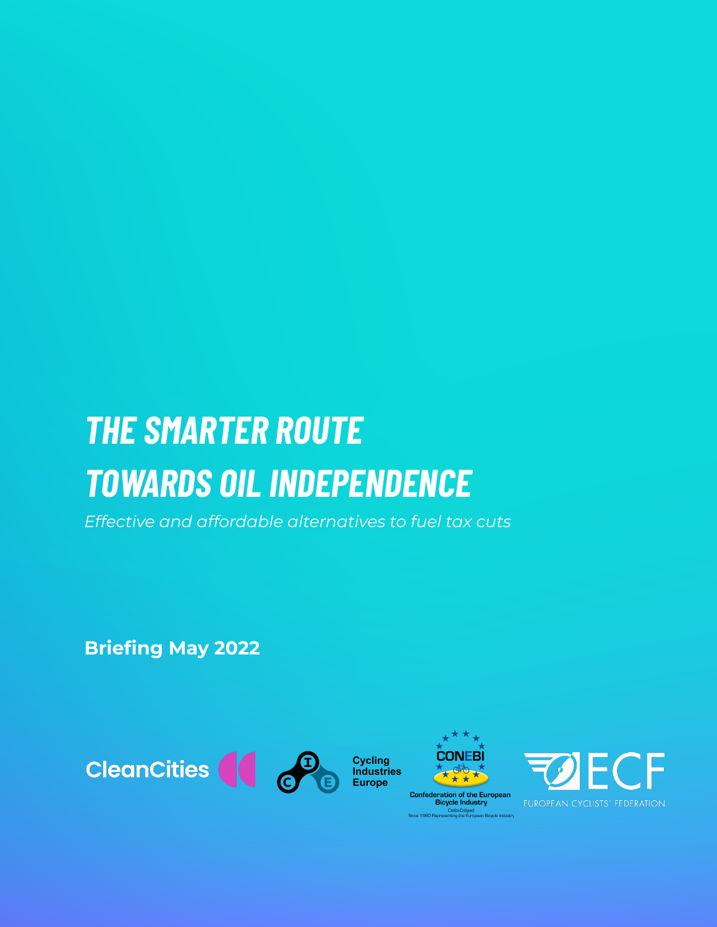# *THE SMARTER ROUTE TOWARDS OIL INDEPENDENCE*

*Effective and affordable alternatives to fuel tax cuts*

**Briefing May 2022**





**Confederation of the European<br>Bicycle Industry** Colibi-Coliped<br>nting the European Bicycle Industry e 1960 Repres

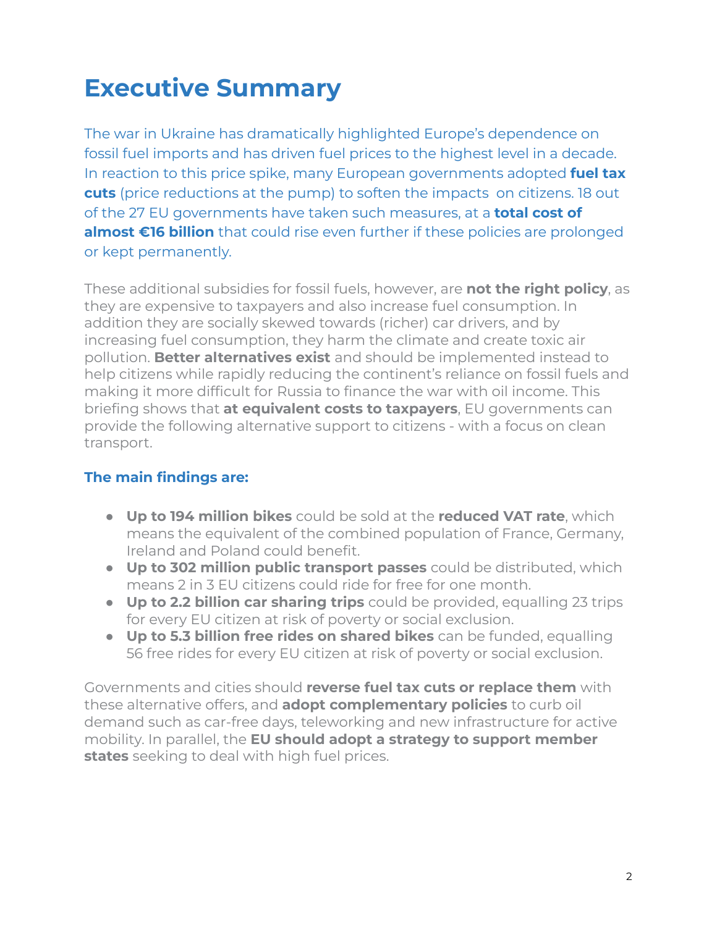### **Executive Summary**

The war in Ukraine has dramatically highlighted Europe's dependence on fossil fuel imports and has driven fuel prices to the highest level in a decade. In reaction to this price spike, many European governments adopted **fuel tax cuts** (price reductions at the pump) to soften the impacts on citizens. 18 out of the 27 EU governments have taken such measures, at a **total cost of almost €16 billion** that could rise even further if these policies are prolonged or kept permanently.

These additional subsidies for fossil fuels, however, are **not the right policy**, as they are expensive to taxpayers and also increase fuel consumption. In addition they are socially skewed towards (richer) car drivers, and by increasing fuel consumption, they harm the climate and create toxic air pollution. **Better alternatives exist** and should be implemented instead to help citizens while rapidly reducing the continent's reliance on fossil fuels and making it more difficult for Russia to finance the war with oil income. This briefing shows that **at equivalent costs to taxpayers**, EU governments can provide the following alternative support to citizens - with a focus on clean transport.

### **The main findings are:**

- **Up to 194 million bikes** could be sold at the **reduced VAT rate**, which means the equivalent of the combined population of France, Germany, Ireland and Poland could benefit.
- **Up to 302 million public transport passes** could be distributed, which means 2 in 3 EU citizens could ride for free for one month.
- **Up to 2.2 billion car sharing trips** could be provided, equalling 23 trips for every EU citizen at risk of poverty or social exclusion.
- **Up to 5.3 billion free rides on shared bikes** can be funded, equalling 56 free rides for every EU citizen at risk of poverty or social exclusion.

Governments and cities should **reverse fuel tax cuts or replace them** with these alternative offers, and **adopt complementary policies** to curb oil demand such as car-free days, teleworking and new infrastructure for active mobility. In parallel, the **EU should adopt a strategy to support member states** seeking to deal with high fuel prices.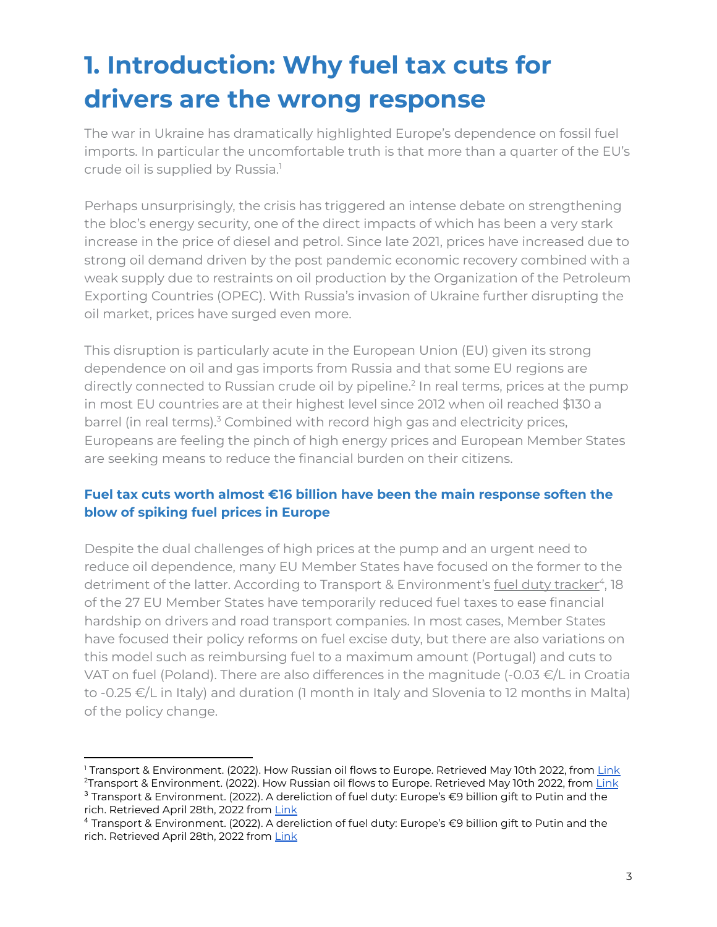## **1. Introduction: Why fuel tax cuts for drivers are the wrong response**

The war in Ukraine has dramatically highlighted Europe's dependence on fossil fuel imports. In particular the uncomfortable truth is that more than a quarter of the EU's crude oil is supplied by Russia. 1

Perhaps unsurprisingly, the crisis has triggered an intense debate on strengthening the bloc's energy security, one of the direct impacts of which has been a very stark increase in the price of diesel and petrol. Since late 2021, prices have increased due to strong oil demand driven by the post pandemic economic recovery combined with a weak supply due to restraints on oil production by the Organization of the Petroleum Exporting Countries (OPEC). With Russia's invasion of Ukraine further disrupting the oil market, prices have surged even more.

This disruption is particularly acute in the European Union (EU) given its strong dependence on oil and gas imports from Russia and that some EU regions are directly connected to Russian crude oil by pipeline.<sup>2</sup> In real terms, prices at the pump in most EU countries are at their highest level since 2012 when oil reached \$130 a barrel (in real terms).<sup>3</sup> Combined with record high gas and electricity prices, Europeans are feeling the pinch of high energy prices and European Member States are seeking means to reduce the financial burden on their citizens.

### **Fuel tax cuts worth almost €16 billion have been the main response soften the blow of spiking fuel prices in Europe**

Despite the dual challenges of high prices at the pump and an urgent need to reduce oil dependence, many EU Member States have focused on the former to the detriment of the latter. According to Transport & Environment's fuel duty [tracker](https://www.transportenvironment.org/challenges/climate-tools/fuel-taxes/cuts-to-fuel-taxes/)<sup>4</sup>, 18 of the 27 EU Member States have temporarily reduced fuel taxes to ease financial hardship on drivers and road transport companies. In most cases, Member States have focused their policy reforms on fuel excise duty, but there are also variations on this model such as reimbursing fuel to a maximum amount (Portugal) and cuts to VAT on fuel (Poland). There are also differences in the magnitude (-0.03 €/L in Croatia to -0.25 €/L in Italy) and duration (1 month in Italy and Slovenia to 12 months in Malta) of the policy change.

<sup>&</sup>lt;sup>1</sup> Transport & Environment. (2022). How Russian oil flows to Europe. Retrieved May 10th 2022, from [Link](https://www.transportenvironment.org/wp-content/uploads/2022/03/20220303_russian_oil_in_the_EU.pdf)

<sup>3</sup> Transport & Environment. (2022). A dereliction of fuel duty: Europe's €9 billion gift to Putin and the rich. Retrieved April 28th, 2022 from [Link](https://www.transportenvironment.org/wp-content/uploads/2022/03/2022_03_study_fuel_excise_duty_measures.pdf) <sup>2</sup>Transport & Environment. (2022). How Russian oil flows to Europe. Retrieved May 10th 2022, from [Link](https://www.transportenvironment.org/wp-content/uploads/2022/03/20220303_russian_oil_in_the_EU.pdf)

<sup>4</sup> Transport & Environment. (2022). A dereliction of fuel duty: Europe's €9 billion gift to Putin and the rich. Retrieved April 28th, 2022 from [Link](https://www.transportenvironment.org/wp-content/uploads/2022/03/2022_03_study_fuel_excise_duty_measures.pdf)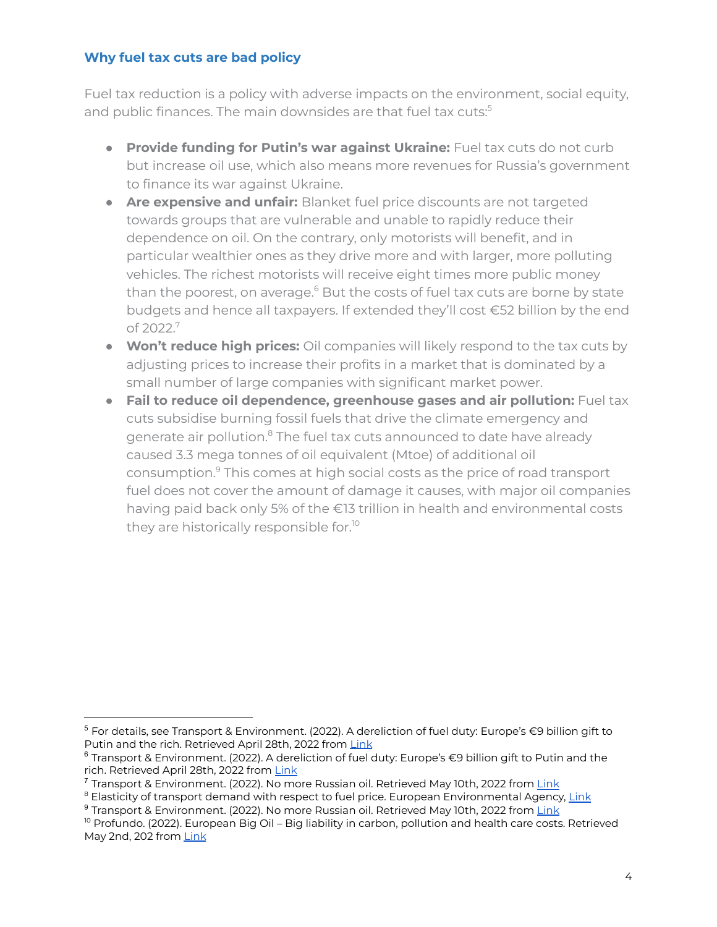### **Why fuel tax cuts are bad policy**

Fuel tax reduction is a policy with adverse impacts on the environment, social equity, and public finances. The main downsides are that fuel tax cuts: 5

- **Provide funding for Putin's war against Ukraine:** Fuel tax cuts do not curb but increase oil use, which also means more revenues for Russia's government to finance its war against Ukraine.
- **● Are expensive and unfair:** Blanket fuel price discounts are not targeted towards groups that are vulnerable and unable to rapidly reduce their dependence on oil. On the contrary, only motorists will benefit, and in particular wealthier ones as they drive more and with larger, more polluting vehicles. The richest motorists will receive eight times more public money than the poorest, on average.<sup>6</sup> But the costs of fuel tax cuts are borne by state budgets and hence all taxpayers. If extended they'll cost €52 billion by the end of 2022.<sup>7</sup>
- **● Won't reduce high prices:** Oil companies will likely respond to the tax cuts by adjusting prices to increase their profits in a market that is dominated by a small number of large companies with significant market power.
- **● Fail to reduce oil dependence, greenhouse gases and air pollution:** Fuel tax cuts subsidise burning fossil fuels that drive the climate emergency and generate air pollution.<sup>8</sup> The fuel tax cuts announced to date have already caused 3.3 mega tonnes of oil equivalent (Mtoe) of additional oil consumption. <sup>9</sup> This comes at high social costs as the price of road transport fuel does not cover the amount of damage it causes, with major oil companies having paid back only 5% of the €13 trillion in health and environmental costs they are historically responsible for. 10

 $5$  For details, see Transport & Environment. (2022). A dereliction of fuel duty: Europe's  $\epsilon$ 9 billion gift to Putin and the rich. Retrieved April 28th, 2022 from [Link](https://www.transportenvironment.org/wp-content/uploads/2022/03/2022_03_study_fuel_excise_duty_measures.pdf)

<sup>6</sup> Transport & Environment. (2022). A dereliction of fuel duty: Europe's €9 billion gift to Putin and the rich. Retrieved April 28th, 2022 from [Link](https://www.transportenvironment.org/wp-content/uploads/2022/03/2022_03_study_fuel_excise_duty_measures.pdf)

<sup>&</sup>lt;sup>7</sup> Transport & Environment. (2022). No more Russian oil. Retrieved May 10th, 2022 from [Link](https://www.transportenvironment.org/wp-content/uploads/2022/05/final_202205_Briefing_How_Europe_cut_transport_oil_demand_2pager.pdf)

<sup>&</sup>lt;sup>8</sup> Elasticity of transport demand with respect to fuel price. European Environmental Agency, [Link](https://www.eea.europa.eu/data-and-maps/figures/elasticity-of-transport-demand-with-respect-to-fuel-price)

<sup>&</sup>lt;sup>9</sup> Transport & Environment. (2022). No more Russian oil. Retrieved May 10th, 2022 from [Link](https://www.transportenvironment.org/wp-content/uploads/2022/05/final_202205_Briefing_How_Europe_cut_transport_oil_demand_2pager.pdf)

<sup>&</sup>lt;sup>10</sup> Profundo. (2022). European Big Oil – Big liability in carbon, pollution and health care costs. Retrieved May 2nd, 202 from [Link](https://www.transportenvironment.org/wp-content/uploads/2022/04/ReportBigOil25April2022Def.pdf)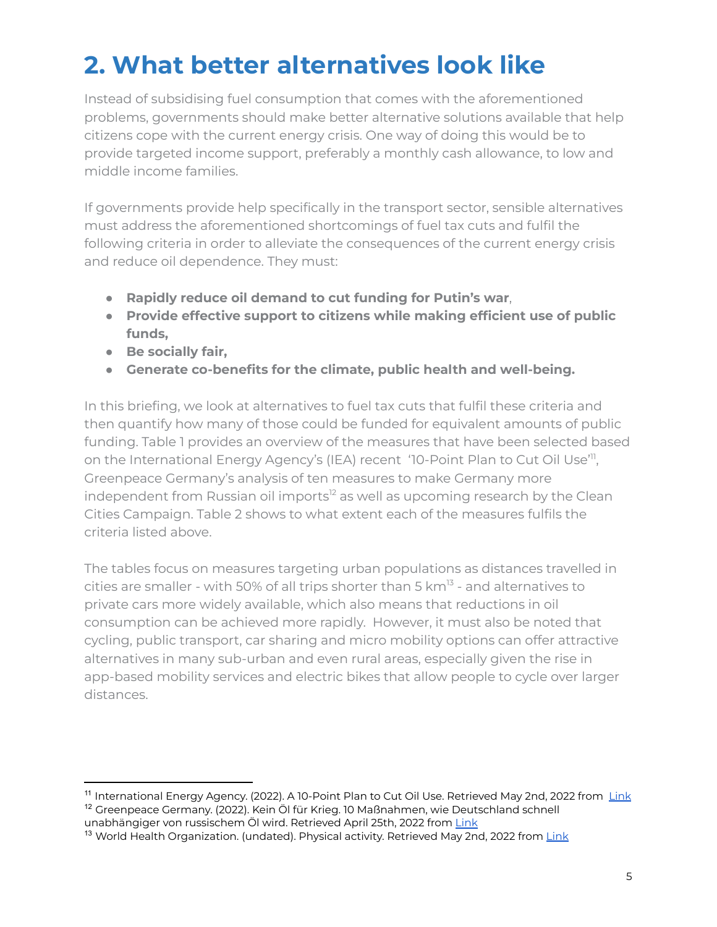### **2. What better alternatives look like**

Instead of subsidising fuel consumption that comes with the aforementioned problems, governments should make better alternative solutions available that help citizens cope with the current energy crisis. One way of doing this would be to provide targeted income support, preferably a monthly cash allowance, to low and middle income families.

If governments provide help specifically in the transport sector, sensible alternatives must address the aforementioned shortcomings of fuel tax cuts and fulfil the following criteria in order to alleviate the consequences of the current energy crisis and reduce oil dependence. They must:

- **Rapidly reduce oil demand to cut funding for Putin's war**,
- **Provide effective support to citizens while making efficient use of public funds,**
- **● Be socially fair,**
- **● Generate co-benefits for the climate, public health and well-being.**

In this briefing, we look at alternatives to fuel tax cuts that fulfil these criteria and then quantify how many of those could be funded for equivalent amounts of public funding. Table 1 provides an overview of the measures that have been selected based on the International Energy Agency's (IEA) recent '10-Point Plan to Cut Oil Use'<sup>11</sup>, Greenpeace Germany's analysis of ten measures to make Germany more independent from Russian oil imports<sup>12</sup> as well as upcoming research by the Clean Cities Campaign. Table 2 shows to what extent each of the measures fulfils the criteria listed above.

The tables focus on measures targeting urban populations as distances travelled in cities are smaller - with 50% of all trips shorter than 5 km $^{13}$  - and alternatives to private cars more widely available, which also means that reductions in oil consumption can be achieved more rapidly. However, it must also be noted that cycling, public transport, car sharing and micro mobility options can offer attractive alternatives in many sub-urban and even rural areas, especially given the rise in app-based mobility services and electric bikes that allow people to cycle over larger distances.

<sup>12</sup> Greenpeace Germany. (2022). Kein Öl für Krieg. 10 Maßnahmen, wie Deutschland schnell unabhängiger von russischem Öl wird. Retrieved April 25th, 2022 from [Link](https://www.greenpeace.de/publikationen/20220309-greenpeace-massnahmen-kein-oel-fuer-krieg.pdf) <sup>11</sup> International Energy Agency. (2022). A 10-Point Plan to Cut Oil Use. Retrieved May 2nd, 2022 from <u>[Link](https://iea.blob.core.windows.net/assets/c5043064-58b7-4066-b1e9-68d7d9203fe9/A10-PointPlantoCutOilUse.pdf)</u>

<sup>&</sup>lt;sup>13</sup> World Health Organization. (undated). Physical activity. Retrieved May 2nd, 2022 from [Link](https://www.euro.who.int/en/health-topics/environment-and-health/Transport-and-health/data-and-statistics/physical-activity2)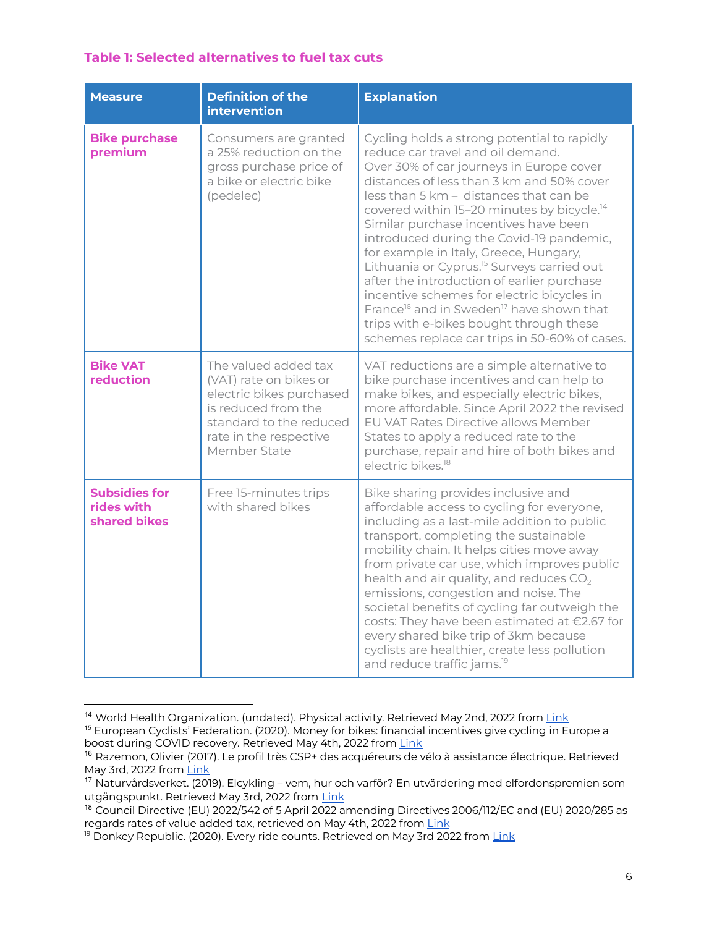### **Table 1: Selected alternatives to fuel tax cuts**

| <b>Measure</b>                                     | <b>Definition of the</b><br>intervention                                                                                                                               | <b>Explanation</b>                                                                                                                                                                                                                                                                                                                                                                                                                                                                                                                                                                                                                                                                                                                 |
|----------------------------------------------------|------------------------------------------------------------------------------------------------------------------------------------------------------------------------|------------------------------------------------------------------------------------------------------------------------------------------------------------------------------------------------------------------------------------------------------------------------------------------------------------------------------------------------------------------------------------------------------------------------------------------------------------------------------------------------------------------------------------------------------------------------------------------------------------------------------------------------------------------------------------------------------------------------------------|
| <b>Bike purchase</b><br>premium                    | Consumers are granted<br>a 25% reduction on the<br>gross purchase price of<br>a bike or electric bike<br>(pedelec)                                                     | Cycling holds a strong potential to rapidly<br>reduce car travel and oil demand.<br>Over 30% of car journeys in Europe cover<br>distances of less than 3 km and 50% cover<br>less than 5 km - distances that can be<br>covered within 15-20 minutes by bicycle. <sup>14</sup><br>Similar purchase incentives have been<br>introduced during the Covid-19 pandemic,<br>for example in Italy, Greece, Hungary,<br>Lithuania or Cyprus. <sup>15</sup> Surveys carried out<br>after the introduction of earlier purchase<br>incentive schemes for electric bicycles in<br>France <sup>16</sup> and in Sweden <sup>17</sup> have shown that<br>trips with e-bikes bought through these<br>schemes replace car trips in 50-60% of cases. |
| <b>Bike VAT</b><br>reduction                       | The valued added tax<br>(VAT) rate on bikes or<br>electric bikes purchased<br>is reduced from the<br>standard to the reduced<br>rate in the respective<br>Member State | VAT reductions are a simple alternative to<br>bike purchase incentives and can help to<br>make bikes, and especially electric bikes,<br>more affordable. Since April 2022 the revised<br>EU VAT Rates Directive allows Member<br>States to apply a reduced rate to the<br>purchase, repair and hire of both bikes and<br>electric bikes <sup>18</sup>                                                                                                                                                                                                                                                                                                                                                                              |
| <b>Subsidies for</b><br>rides with<br>shared bikes | Free 15-minutes trips<br>with shared bikes                                                                                                                             | Bike sharing provides inclusive and<br>affordable access to cycling for everyone,<br>including as a last-mile addition to public<br>transport, completing the sustainable<br>mobility chain. It helps cities move away<br>from private car use, which improves public<br>health and air quality, and reduces $CO2$<br>emissions, congestion and noise. The<br>societal benefits of cycling far outweigh the<br>costs: They have been estimated at €2.67 for<br>every shared bike trip of 3km because<br>cyclists are healthier, create less pollution<br>and reduce traffic jams. <sup>19</sup>                                                                                                                                    |

<sup>15</sup> European Cyclists' Federation. (2020). Money for bikes: financial incentives give cycling in Europe a boost during COVID recovery. Retrieved May 4th, 2022 from [Link](https://ecf.com/news-and-events/news/money-bikes-financial-incentives-give-cycling-europe-boost-during-covid) <sup>14</sup> World Health Organization. (undated). Physical activity. Retrieved May 2nd, 2022 from [Link](https://www.euro.who.int/en/health-topics/environment-and-health/Transport-and-health/data-and-statistics/physical-activity2)

<sup>&</sup>lt;sup>16</sup> Razemon, Olivier (2017). Le profil très CSP+ des acquéreurs de vélo à assistance électrique. Retrieved May 3rd, 2022 from [Link](https://www.lemonde.fr/blog/transports/2017/10/08/profil-acquereurs-vae/)

<sup>17</sup> Naturvårdsverket. (2019). Elcykling – vem, hur och varför? En utvärdering med elfordonspremien som utgångspunkt. Retrieved May 3rd, 2022 from [Link](https://www.naturvardsverket.se/globalassets/media/publikationer-pdf/6800/978-91-620-6894-3.pdf)

<sup>18</sup> Council Directive (EU) 2022/542 of 5 April 2022 amending Directives 2006/112/EC and (EU) 2020/285 as regards rates of value added tax, retrieved on May 4th, 2022 from [Link](https://eur-lex.europa.eu/eli/dir/2022/542)

<sup>&</sup>lt;sup>19</sup> Donkey Republic. (2020). Every ride counts. Retrieved on May 3rd 2022 from [Link](https://www.donkey.bike/sustainability/)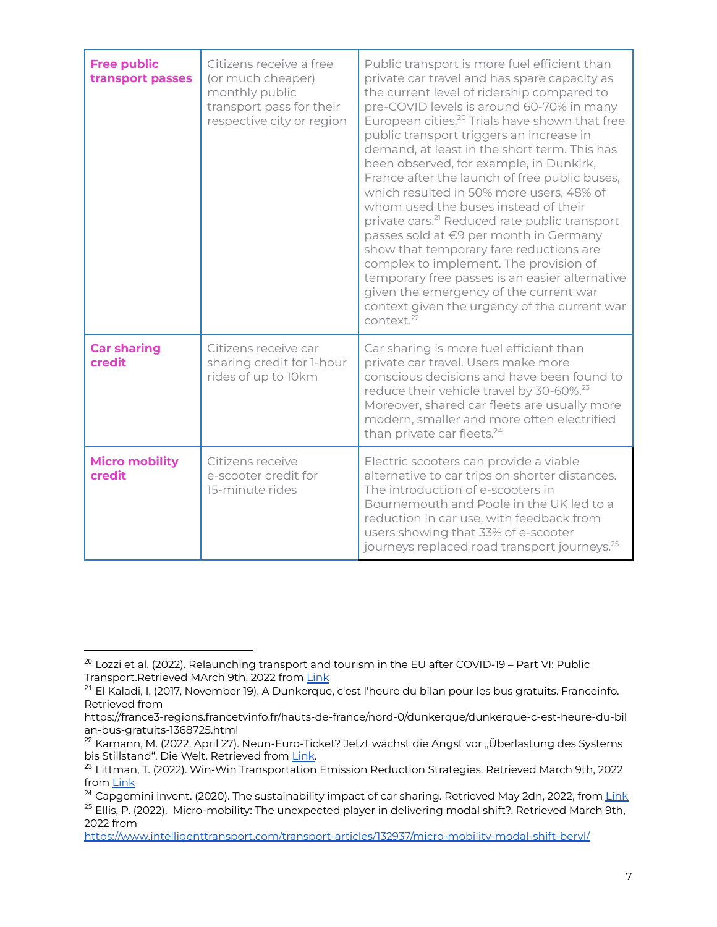| <b>Free public</b><br>transport passes | Citizens receive a free<br>(or much cheaper)<br>monthly public<br>transport pass for their<br>respective city or region | Public transport is more fuel efficient than<br>private car travel and has spare capacity as<br>the current level of ridership compared to<br>pre-COVID levels is around 60-70% in many<br>European cities. <sup>20</sup> Trials have shown that free<br>public transport triggers an increase in<br>demand, at least in the short term. This has<br>been observed, for example, in Dunkirk,<br>France after the launch of free public buses,<br>which resulted in 50% more users, 48% of<br>whom used the buses instead of their<br>private cars. <sup>21</sup> Reduced rate public transport<br>passes sold at €9 per month in Germany<br>show that temporary fare reductions are<br>complex to implement. The provision of<br>temporary free passes is an easier alternative<br>given the emergency of the current war<br>context given the urgency of the current war<br>context. <sup>22</sup> |
|----------------------------------------|-------------------------------------------------------------------------------------------------------------------------|-----------------------------------------------------------------------------------------------------------------------------------------------------------------------------------------------------------------------------------------------------------------------------------------------------------------------------------------------------------------------------------------------------------------------------------------------------------------------------------------------------------------------------------------------------------------------------------------------------------------------------------------------------------------------------------------------------------------------------------------------------------------------------------------------------------------------------------------------------------------------------------------------------|
| <b>Car sharing</b><br>credit           | Citizens receive car<br>sharing credit for 1-hour<br>rides of up to 10km                                                | Car sharing is more fuel efficient than<br>private car travel. Users make more<br>conscious decisions and have been found to<br>reduce their vehicle travel by 30-60%. <sup>23</sup><br>Moreover, shared car fleets are usually more<br>modern, smaller and more often electrified<br>than private car fleets. <sup>24</sup>                                                                                                                                                                                                                                                                                                                                                                                                                                                                                                                                                                        |
| <b>Micro mobility</b><br>credit        | Citizens receive<br>e-scooter credit for<br>15-minute rides                                                             | Electric scooters can provide a viable<br>alternative to car trips on shorter distances.<br>The introduction of e-scooters in<br>Bournemouth and Poole in the UK led to a<br>reduction in car use, with feedback from<br>users showing that 33% of e-scooter<br>journeys replaced road transport journeys. <sup>25</sup>                                                                                                                                                                                                                                                                                                                                                                                                                                                                                                                                                                            |

2022 from

<sup>&</sup>lt;sup>20</sup> Lozzi et al. (2022). Relaunching transport and tourism in the EU after COVID-19 – Part VI: Public Transport.Retrieved MArch 9th, 2022 from [Link](https://research4committees.blog/2022/02/22/relaunching-transport-and-tourism-in-the-eu-after-covid-19-part-vi-public-transport/)

<sup>&</sup>lt;sup>21</sup> El Kaladi, I. (2017, November 19). A Dunkerque, c'est l'heure du bilan pour les bus gratuits. Franceinfo. Retrieved from

https://france3-regions.francetvinfo.fr/hauts-de-france/nord-0/dunkerque/dunkerque-c-est-heure-du-bil an-bus-gratuits-1368725.html

<sup>&</sup>lt;sup>22</sup> Kamann, M. (2022, April 27). Neun-Euro-Ticket? Jetzt wächst die Angst vor "Überlastung des Systems bis Stillstand". Die Welt. Retrieved from [Link.](https://www.welt.de/politik/deutschland/article238417469/Neun-Euro-Ticket-Jetzt-waechst-die-Angst-vor-Ueberlastung-des-Systems-bis-Stillstand.html)

<sup>&</sup>lt;sup>23</sup> Littman, T. (2022). Win-Win Transportation Emission Reduction Strategies. Retrieved March 9th, 2022 from [Link](https://www.vtpi.org/wwclimate.pdf)

<sup>&</sup>lt;sup>25</sup> Ellis, P. (2022). Micro-mobility: The unexpected player in delivering modal shift?. Retrieved March 9th, <sup>24</sup> Capgemini invent. (2020). The sustainability impact of car sharing. Retrieved May 2dn, 2022, from *[Link](https://www.capgemini.com/se-en/wp-content/uploads/sites/29/2020/12/The-Sustainability-Impact-of-Car-Sharing_web.pdf)* 

<https://www.intelligenttransport.com/transport-articles/132937/micro-mobility-modal-shift-beryl/>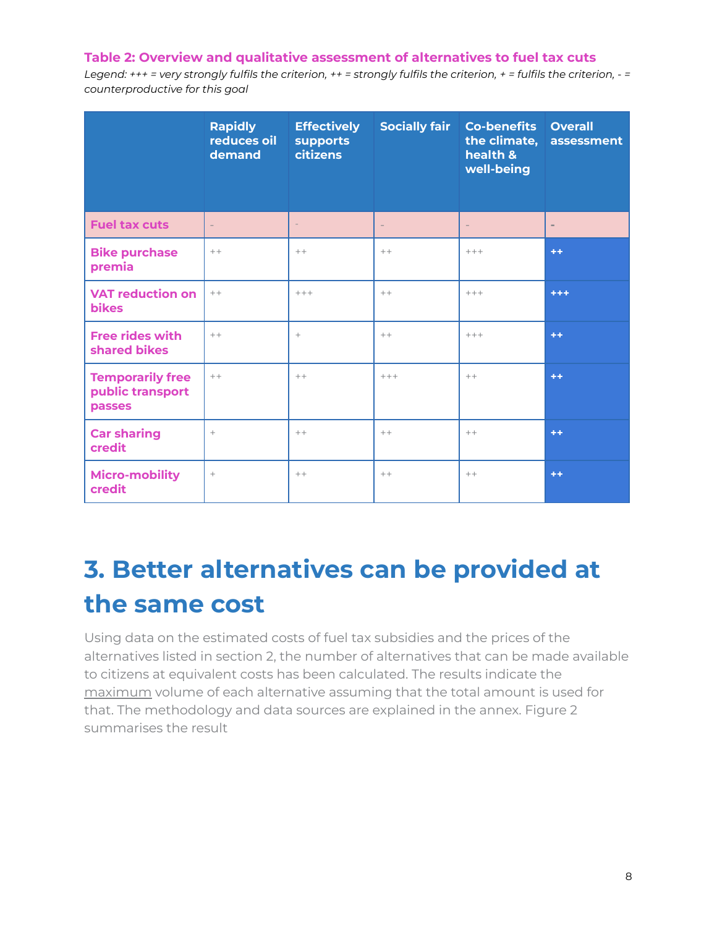#### **Table 2: Overview and qualitative assessment of alternatives to fuel tax cuts**

Legend:  $***$  = very strongly fulfils the criterion,  $**$  = strongly fulfils the criterion,  $*$  = fulfils the criterion,  $-$  = *counterproductive for this goal*

|                                                       | <b>Rapidly</b><br>reduces oil<br>demand | <b>Effectively</b><br>supports<br><b>citizens</b> | <b>Socially fair</b> | <b>Co-benefits</b><br>the climate,<br>health &<br>well-being | <b>Overall</b><br>assessment |
|-------------------------------------------------------|-----------------------------------------|---------------------------------------------------|----------------------|--------------------------------------------------------------|------------------------------|
| <b>Fuel tax cuts</b>                                  |                                         | $\overline{\phantom{a}}$                          | $\qquad \qquad -$    | $\qquad \qquad -$                                            | $\overline{\phantom{a}}$     |
| <b>Bike purchase</b><br>premia                        | $++$                                    | $++$                                              | $++$                 | $+++$                                                        | $+ +$                        |
| <b>VAT reduction on</b><br><b>bikes</b>               | $++$                                    | $+++$                                             | $++$                 | $+++$                                                        | +++                          |
| <b>Free rides with</b><br>shared bikes                | $++$                                    | $^{+}$                                            | $++$                 | $+++$                                                        | $+ +$                        |
| <b>Temporarily free</b><br>public transport<br>passes | $++$                                    | $++$                                              | $+++$                | $++$                                                         | $+ +$                        |
| <b>Car sharing</b><br>credit                          | $+$                                     | $++$                                              | $++$                 | $++$                                                         | $+ +$                        |
| <b>Micro-mobility</b><br>credit                       | $^{+}$                                  | $++$                                              | $++$                 | $++$                                                         | $+ +$                        |

### **3. Better alternatives can be provided at the same cost**

Using data on the estimated costs of fuel tax subsidies and the prices of the alternatives listed in section 2, the number of alternatives that can be made available to citizens at equivalent costs has been calculated. The results indicate the maximum volume of each alternative assuming that the total amount is used for that. The methodology and data sources are explained in the annex. Figure 2 summarises the result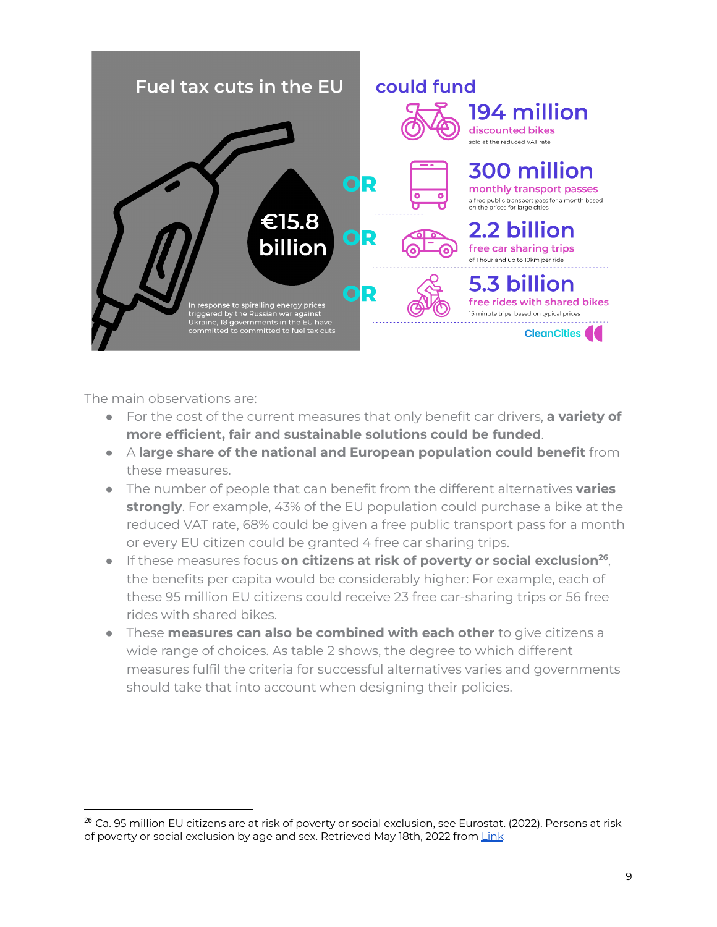

The main observations are:

- For the cost of the current measures that only benefit car drivers, **a variety of more efficient, fair and sustainable solutions could be funded**.
- A **large share of the national and European population could benefit** from these measures.
- The number of people that can benefit from the different alternatives **varies strongly**. For example, 43% of the EU population could purchase a bike at the reduced VAT rate, 68% could be given a free public transport pass for a month or every EU citizen could be granted 4 free car sharing trips.
- If these measures focus **on citizens at risk of poverty or social exclusion 26** , the benefits per capita would be considerably higher: For example, each of these 95 million EU citizens could receive 23 free car-sharing trips or 56 free rides with shared bikes.
- These **measures can also be combined with each other** to give citizens a wide range of choices. As table 2 shows, the degree to which different measures fulfil the criteria for successful alternatives varies and governments should take that into account when designing their policies.

<sup>&</sup>lt;sup>26</sup> Ca. 95 million EU citizens are at risk of poverty or social exclusion, see Eurostat. (2022). Persons at risk of poverty or social exclusion by age and sex. Retrieved May 18th, 2022 from [Link](https://ec.europa.eu/eurostat/databrowser/view/ILC_PEPS01N/default/table?lang=en)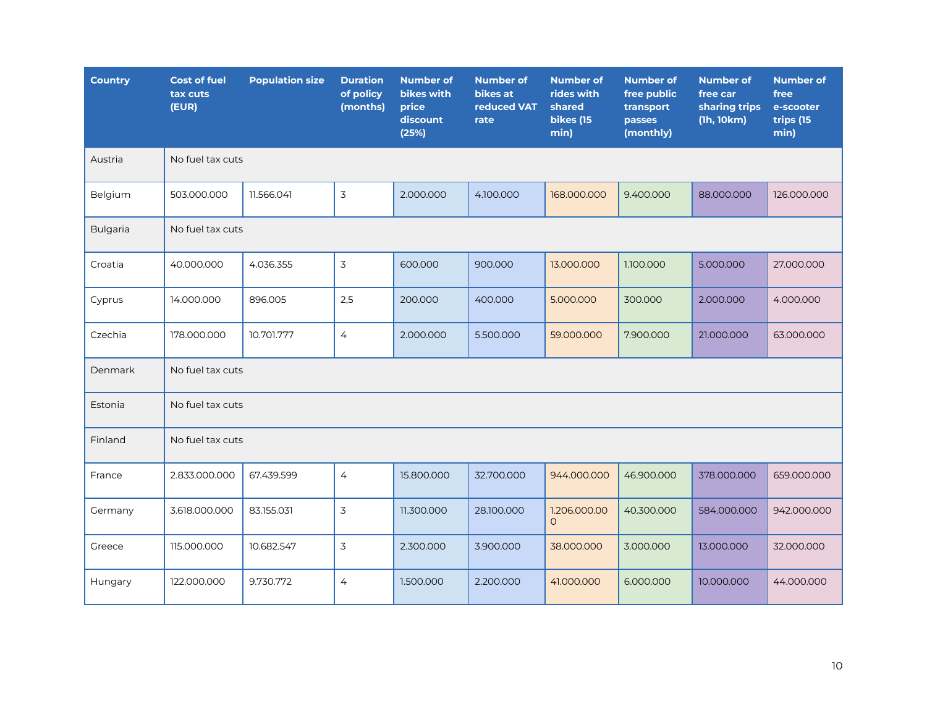| <b>Country</b>  | <b>Cost of fuel</b><br>tax cuts<br>(EUR) | <b>Population size</b> | <b>Duration</b><br>of policy<br>(months) | <b>Number of</b><br>bikes with<br>price<br>discount<br>(25%) | <b>Number of</b><br>bikes at<br>reduced VAT<br>rate | <b>Number of</b><br>rides with<br>shared<br>bikes (15<br>min) | <b>Number of</b><br>free public<br>transport<br>passes<br>(monthly) | <b>Number of</b><br>free car<br>sharing trips<br>(lh, 10km) | <b>Number of</b><br>free<br>e-scooter<br>trips (15<br>min) |
|-----------------|------------------------------------------|------------------------|------------------------------------------|--------------------------------------------------------------|-----------------------------------------------------|---------------------------------------------------------------|---------------------------------------------------------------------|-------------------------------------------------------------|------------------------------------------------------------|
| Austria         | No fuel tax cuts                         |                        |                                          |                                                              |                                                     |                                                               |                                                                     |                                                             |                                                            |
| Belgium         | 503.000.000                              | 11.566.041             | 3                                        | 2.000.000                                                    | 4.100.000                                           | 168.000.000                                                   | 9.400.000                                                           | 88.000.000                                                  | 126.000.000                                                |
| <b>Bulgaria</b> | No fuel tax cuts                         |                        |                                          |                                                              |                                                     |                                                               |                                                                     |                                                             |                                                            |
| Croatia         | 40.000.000                               | 4.036.355              | 3                                        | 600,000                                                      | 900.000                                             | 13.000.000                                                    | 1.100.000                                                           | 5.000.000                                                   | 27.000.000                                                 |
| Cyprus          | 14.000.000                               | 896.005                | 2,5                                      | 200.000                                                      | 400.000                                             | 5.000.000                                                     | 300.000                                                             | 2.000.000                                                   | 4.000.000                                                  |
| Czechia         | 178.000.000                              | 10.701.777             | $\overline{4}$                           | 2.000.000                                                    | 5.500.000                                           | 59.000.000                                                    | 7.900.000                                                           | 21.000.000                                                  | 63.000.000                                                 |
| Denmark         | No fuel tax cuts                         |                        |                                          |                                                              |                                                     |                                                               |                                                                     |                                                             |                                                            |
| Estonia         | No fuel tax cuts                         |                        |                                          |                                                              |                                                     |                                                               |                                                                     |                                                             |                                                            |
| Finland         | No fuel tax cuts                         |                        |                                          |                                                              |                                                     |                                                               |                                                                     |                                                             |                                                            |
| France          | 2.833.000.000                            | 67.439.599             | 4                                        | 15.800.000                                                   | 32.700.000                                          | 944.000.000                                                   | 46.900.000                                                          | 378.000.000                                                 | 659.000.000                                                |
| Germany         | 3.618.000.000                            | 83.155.031             | 3                                        | 11.300.000                                                   | 28.100.000                                          | 1.206.000.00<br>$\circ$                                       | 40.300.000                                                          | 584.000.000                                                 | 942.000.000                                                |
| Greece          | 115.000.000                              | 10.682.547             | 3                                        | 2.300.000                                                    | 3.900.000                                           | 38.000.000                                                    | 3.000.000                                                           | 13.000.000                                                  | 32.000.000                                                 |
| Hungary         | 122.000.000                              | 9.730.772              | $\overline{4}$                           | 1.500.000                                                    | 2.200.000                                           | 41.000.000                                                    | 6.000.000                                                           | 10.000.000                                                  | 44.000.000                                                 |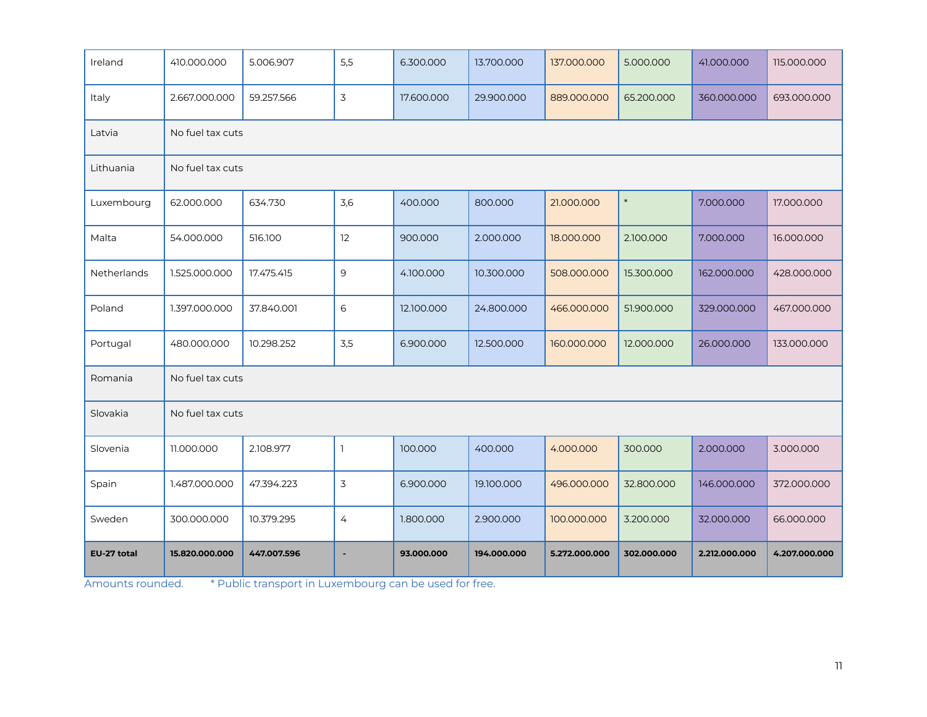| Ireland     | 410.000.000      | 5.006.907        | 5,5            | 6.300.000  | 13.700.000  | 137.000.000   | 5.000.000   | 41.000.000    | 115.000.000   |
|-------------|------------------|------------------|----------------|------------|-------------|---------------|-------------|---------------|---------------|
| Italy       | 2.667.000.000    | 59.257.566       | 3              | 17.600.000 | 29.900.000  | 889.000.000   | 65.200.000  | 360.000.000   | 693.000.000   |
| Latvia      |                  | No fuel tax cuts |                |            |             |               |             |               |               |
| Lithuania   | No fuel tax cuts |                  |                |            |             |               |             |               |               |
| Luxembourg  | 62.000.000       | 634.730          | 3,6            | 400.000    | 800,000     | 21.000.000    | $\ast$      | 7.000.000     | 17.000.000    |
| Malta       | 54.000.000       | 516.100          | 12             | 900.000    | 2.000.000   | 18.000.000    | 2.100.000   | 7.000.000     | 16.000.000    |
| Netherlands | 1.525.000.000    | 17.475.415       | 9              | 4.100.000  | 10.300.000  | 508.000.000   | 15.300.000  | 162.000.000   | 428.000.000   |
| Poland      | 1.397.000.000    | 37.840.001       | 6              | 12.100.000 | 24.800.000  | 466.000.000   | 51.900.000  | 329.000.000   | 467.000.000   |
| Portugal    | 480.000.000      | 10.298.252       | 3,5            | 6.900.000  | 12.500.000  | 160.000.000   | 12.000.000  | 26.000.000    | 133.000.000   |
| Romania     | No fuel tax cuts |                  |                |            |             |               |             |               |               |
| Slovakia    | No fuel tax cuts |                  |                |            |             |               |             |               |               |
| Slovenia    | 11.000.000       | 2.108.977        | $\mathbb{I}$   | 100.000    | 400.000     | 4.000.000     | 300.000     | 2.000.000     | 3.000.000     |
| Spain       | 1.487.000.000    | 47.394.223       | 3              | 6.900.000  | 19.100.000  | 496.000.000   | 32.800.000  | 146.000.000   | 372.000.000   |
| Sweden      | 300.000.000      | 10.379.295       | $\overline{4}$ | 1.800.000  | 2.900.000   | 100.000.000   | 3.200.000   | 32.000.000    | 66.000.000    |
| EU-27 total | 15.820.000.000   | 447.007.596      | $\blacksquare$ | 93.000.000 | 194.000.000 | 5.272.000.000 | 302.000.000 | 2.212.000.000 | 4.207.000.000 |

Amounts rounded. \*\* Public transport in Luxembourg can be used for free.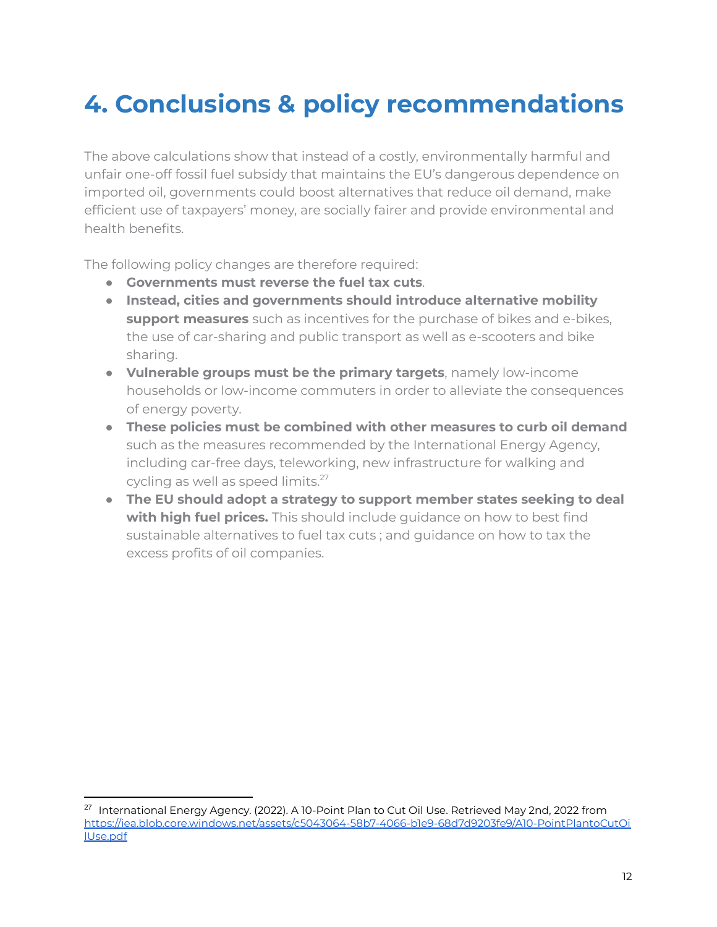### **4. Conclusions & policy recommendations**

The above calculations show that instead of a costly, environmentally harmful and unfair one-off fossil fuel subsidy that maintains the EU's dangerous dependence on imported oil, governments could boost alternatives that reduce oil demand, make efficient use of taxpayers' money, are socially fairer and provide environmental and health benefits.

The following policy changes are therefore required:

- **Governments must reverse the fuel tax cuts**.
- **Instead, cities and governments should introduce alternative mobility support measures** such as incentives for the purchase of bikes and e-bikes, the use of car-sharing and public transport as well as e-scooters and bike sharing.
- **Vulnerable groups must be the primary targets**, namely low-income households or low-income commuters in order to alleviate the consequences of energy poverty.
- **These policies must be combined with other measures to curb oil demand** such as the measures recommended by the International Energy Agency, including car-free days, teleworking, new infrastructure for walking and cycling as well as speed limits.<sup>27</sup>
- **The EU should adopt a strategy to support member states seeking to deal with high fuel prices.** This should include guidance on how to best find sustainable alternatives to fuel tax cuts ; and guidance on how to tax the excess profits of oil companies.

<sup>&</sup>lt;sup>27</sup> International Energy Agency. (2022). A 10-Point Plan to Cut Oil Use. Retrieved May 2nd, 2022 from [https://iea.blob.core.windows.net/assets/c5043064-58b7-4066-b1e9-68d7d9203fe9/A10-PointPlantoCutOi](https://iea.blob.core.windows.net/assets/c5043064-58b7-4066-b1e9-68d7d9203fe9/A10-PointPlantoCutOilUse.pdf) [lUse.pdf](https://iea.blob.core.windows.net/assets/c5043064-58b7-4066-b1e9-68d7d9203fe9/A10-PointPlantoCutOilUse.pdf)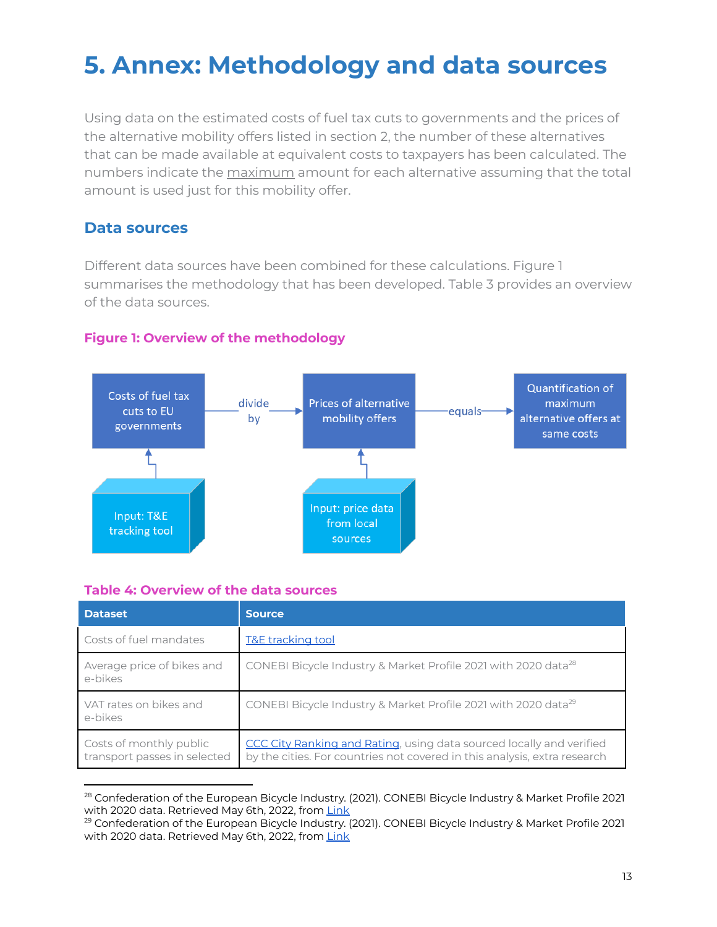### **5. Annex: Methodology and data sources**

Using data on the estimated costs of fuel tax cuts to governments and the prices of the alternative mobility offers listed in section 2, the number of these alternatives that can be made available at equivalent costs to taxpayers has been calculated. The numbers indicate the maximum amount for each alternative assuming that the total amount is used just for this mobility offer.

### **Data sources**

Different data sources have been combined for these calculations. Figure 1 summarises the methodology that has been developed. Table 3 provides an overview of the data sources.



#### **Figure 1: Overview of the methodology**

#### **Table 4: Overview of the data sources**

| <b>Dataset</b>                                          | <b>Source</b>                                                                                                                                            |
|---------------------------------------------------------|----------------------------------------------------------------------------------------------------------------------------------------------------------|
| Costs of fuel mandates                                  | <b>T&amp;E tracking tool</b>                                                                                                                             |
| Average price of bikes and<br>e-bikes                   | CONEBI Bicycle Industry & Market Profile 2021 with 2020 data <sup>28</sup>                                                                               |
| VAT rates on bikes and<br>e-bikes                       | CONEBI Bicycle Industry & Market Profile 2021 with 2020 data <sup>29</sup>                                                                               |
| Costs of monthly public<br>transport passes in selected | <b>CCC City Ranking and Rating, using data sourced locally and verified</b><br>by the cities. For countries not covered in this analysis, extra research |

<sup>&</sup>lt;sup>28</sup> Confederation of the European Bicycle Industry. (2021). CONEBI Bicycle Industry & Market Profile 2021 with 2020 data. Retrieved May 6th, 2022, from [Link](https://www.conebi.eu/industry-market-reports/)

<sup>&</sup>lt;sup>29</sup> Confederation of the European Bicycle Industry. (2021). CONEBI Bicycle Industry & Market Profile 2021 with 2020 data. Retrieved May 6th, 2022, from [Link](https://www.conebi.eu/industry-market-reports/)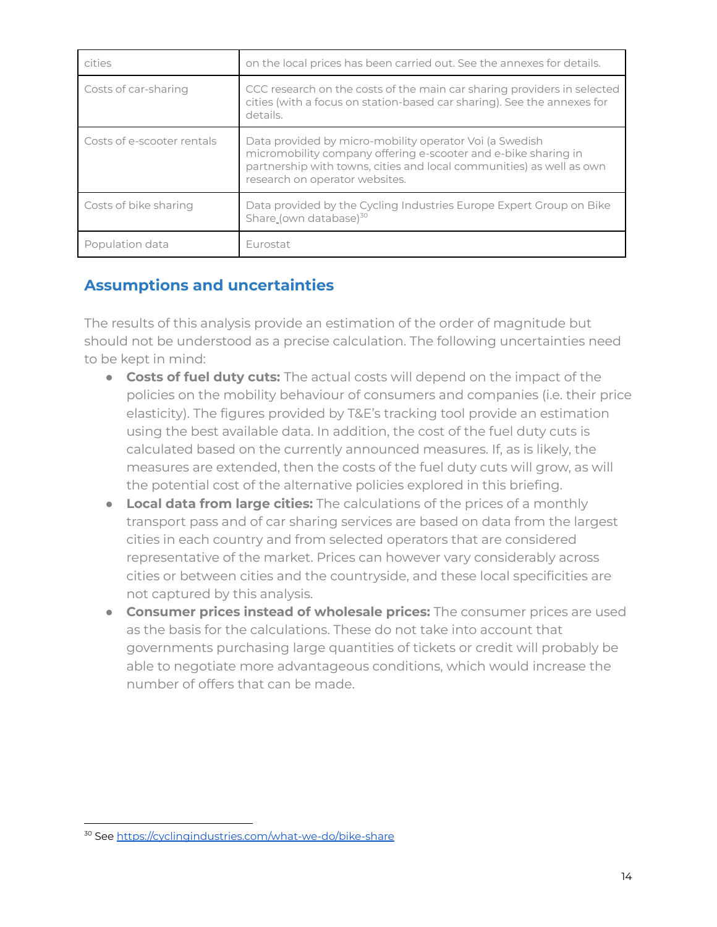| cities                     | on the local prices has been carried out. See the annexes for details.                                                                                                                                                              |
|----------------------------|-------------------------------------------------------------------------------------------------------------------------------------------------------------------------------------------------------------------------------------|
| Costs of car-sharing       | CCC research on the costs of the main car sharing providers in selected<br>cities (with a focus on station-based car sharing). See the annexes for<br>details.                                                                      |
| Costs of e-scooter rentals | Data provided by micro-mobility operator Voi (a Swedish<br>micromobility company offering e-scooter and e-bike sharing in<br>partnership with towns, cities and local communities) as well as own<br>research on operator websites. |
| Costs of bike sharing      | Data provided by the Cycling Industries Europe Expert Group on Bike<br>Share_(own database) <sup>30</sup>                                                                                                                           |
| Population data            | Eurostat                                                                                                                                                                                                                            |

### **Assumptions and uncertainties**

The results of this analysis provide an estimation of the order of magnitude but should not be understood as a precise calculation. The following uncertainties need to be kept in mind:

- **Costs of fuel duty cuts:** The actual costs will depend on the impact of the policies on the mobility behaviour of consumers and companies (i.e. their price elasticity). The figures provided by T&E's tracking tool provide an estimation using the best available data. In addition, the cost of the fuel duty cuts is calculated based on the currently announced measures. If, as is likely, the measures are extended, then the costs of the fuel duty cuts will grow, as will the potential cost of the alternative policies explored in this briefing.
- **Local data from large cities:** The calculations of the prices of a monthly transport pass and of car sharing services are based on data from the largest cities in each country and from selected operators that are considered representative of the market. Prices can however vary considerably across cities or between cities and the countryside, and these local specificities are not captured by this analysis.
- **Consumer prices instead of wholesale prices:** The consumer prices are used as the basis for the calculations. These do not take into account that governments purchasing large quantities of tickets or credit will probably be able to negotiate more advantageous conditions, which would increase the number of offers that can be made.

<sup>30</sup> See <https://cyclingindustries.com/what-we-do/bike-share>